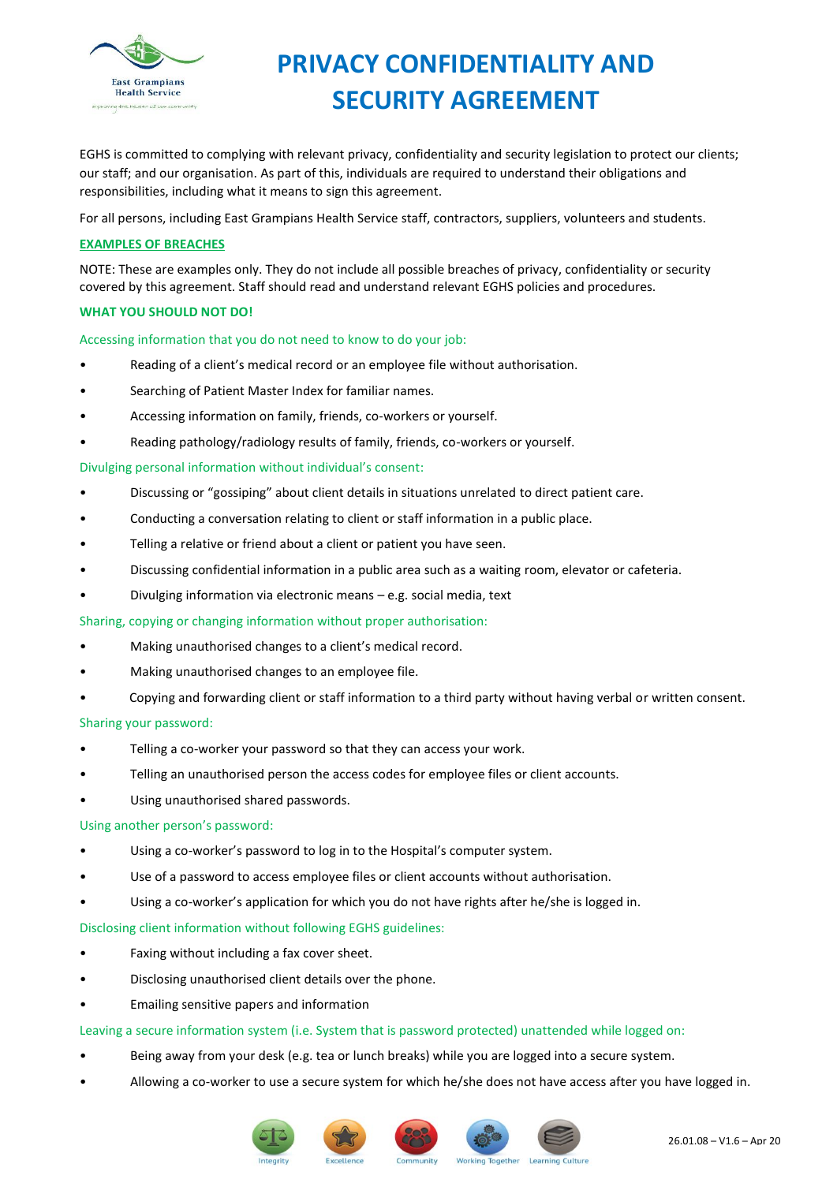

# **PRIVACY CONFIDENTIALITY AND SECURITY AGREEMENT**

EGHS is committed to complying with relevant privacy, confidentiality and security legislation to protect our clients; our staff; and our organisation. As part of this, individuals are required to understand their obligations and responsibilities, including what it means to sign this agreement.

For all persons, including East Grampians Health Service staff, contractors, suppliers, volunteers and students.

#### **EXAMPLES OF BREACHES**

NOTE: These are examples only. They do not include all possible breaches of privacy, confidentiality or security covered by this agreement. Staff should read and understand relevant EGHS policies and procedures.

#### **WHAT YOU SHOULD NOT DO!**

Accessing information that you do not need to know to do your job:

- Reading of a client's medical record or an employee file without authorisation.
- Searching of Patient Master Index for familiar names.
- Accessing information on family, friends, co-workers or yourself.
- Reading pathology/radiology results of family, friends, co-workers or yourself.

#### Divulging personal information without individual's consent:

- Discussing or "gossiping" about client details in situations unrelated to direct patient care.
- Conducting a conversation relating to client or staff information in a public place.
- Telling a relative or friend about a client or patient you have seen.
- Discussing confidential information in a public area such as a waiting room, elevator or cafeteria.
- Divulging information via electronic means e.g. social media, text

Sharing, copying or changing information without proper authorisation:

- Making unauthorised changes to a client's medical record.
- Making unauthorised changes to an employee file.
- Copying and forwarding client or staff information to a third party without having verbal or written consent.

#### Sharing your password:

- Telling a co-worker your password so that they can access your work.
- Telling an unauthorised person the access codes for employee files or client accounts.
- Using unauthorised shared passwords.

#### Using another person's password:

- Using a co-worker's password to log in to the Hospital's computer system.
- Use of a password to access employee files or client accounts without authorisation.
- Using a co-worker's application for which you do not have rights after he/she is logged in.

#### Disclosing client information without following EGHS guidelines:

- Faxing without including a fax cover sheet.
- Disclosing unauthorised client details over the phone.
- Emailing sensitive papers and information

#### Leaving a secure information system (i.e. System that is password protected) unattended while logged on:

- Being away from your desk (e.g. tea or lunch breaks) while you are logged into a secure system.
- Allowing a co-worker to use a secure system for which he/she does not have access after you have logged in.